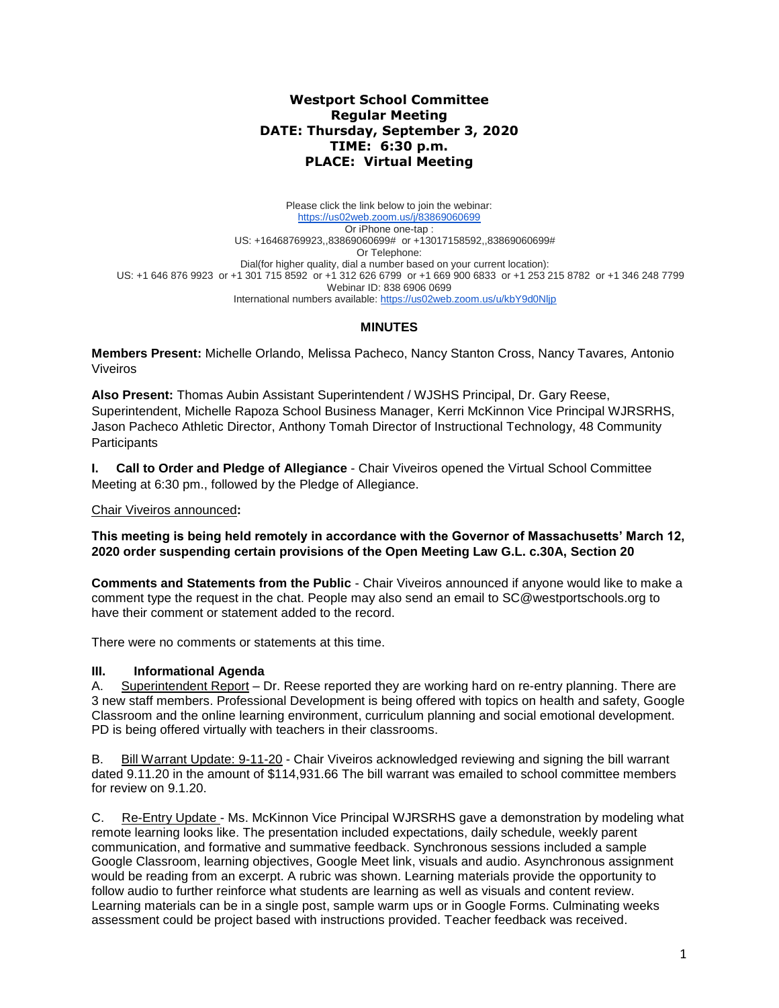## **Westport School Committee Regular Meeting DATE: Thursday, September 3, 2020 TIME: 6:30 p.m. PLACE: Virtual Meeting**

Please click the link below to join the webinar: <https://us02web.zoom.us/j/83869060699> Or iPhone one-tap : US: +16468769923,,83869060699# or +13017158592,,83869060699# Or Telephone: Dial(for higher quality, dial a number based on your current location): US: +1 646 876 9923 or +1 301 715 8592 or +1 312 626 6799 or +1 669 900 6833 or +1 253 215 8782 or +1 346 248 7799 Webinar ID: 838 6906 0699 International numbers available:<https://us02web.zoom.us/u/kbY9d0Nljp>

# **MINUTES**

**Members Present:** Michelle Orlando, Melissa Pacheco, Nancy Stanton Cross, Nancy Tavares*,* Antonio Viveiros

**Also Present:** Thomas Aubin Assistant Superintendent / WJSHS Principal, Dr. Gary Reese, Superintendent, Michelle Rapoza School Business Manager, Kerri McKinnon Vice Principal WJRSRHS, Jason Pacheco Athletic Director, Anthony Tomah Director of Instructional Technology, 48 Community **Participants** 

**I. Call to Order and Pledge of Allegiance** - Chair Viveiros opened the Virtual School Committee Meeting at 6:30 pm., followed by the Pledge of Allegiance.

#### Chair Viveiros announced**:**

**This meeting is being held remotely in accordance with the Governor of Massachusetts' March 12, 2020 order suspending certain provisions of the Open Meeting Law G.L. c.30A, Section 20**

**Comments and Statements from the Public** - Chair Viveiros announced if anyone would like to make a comment type the request in the chat. People may also send an email to SC@westportschools.org to have their comment or statement added to the record.

There were no comments or statements at this time.

## **III. Informational Agenda**

A. Superintendent Report – Dr. Reese reported they are working hard on re-entry planning. There are 3 new staff members. Professional Development is being offered with topics on health and safety, Google Classroom and the online learning environment, curriculum planning and social emotional development. PD is being offered virtually with teachers in their classrooms.

B. Bill Warrant Update: 9-11-20 - Chair Viveiros acknowledged reviewing and signing the bill warrant dated 9.11.20 in the amount of \$114,931.66 The bill warrant was emailed to school committee members for review on 9.1.20.

C. Re-Entry Update - Ms. McKinnon Vice Principal WJRSRHS gave a demonstration by modeling what remote learning looks like. The presentation included expectations, daily schedule, weekly parent communication, and formative and summative feedback. Synchronous sessions included a sample Google Classroom, learning objectives, Google Meet link, visuals and audio. Asynchronous assignment would be reading from an excerpt. A rubric was shown. Learning materials provide the opportunity to follow audio to further reinforce what students are learning as well as visuals and content review. Learning materials can be in a single post, sample warm ups or in Google Forms. Culminating weeks assessment could be project based with instructions provided. Teacher feedback was received.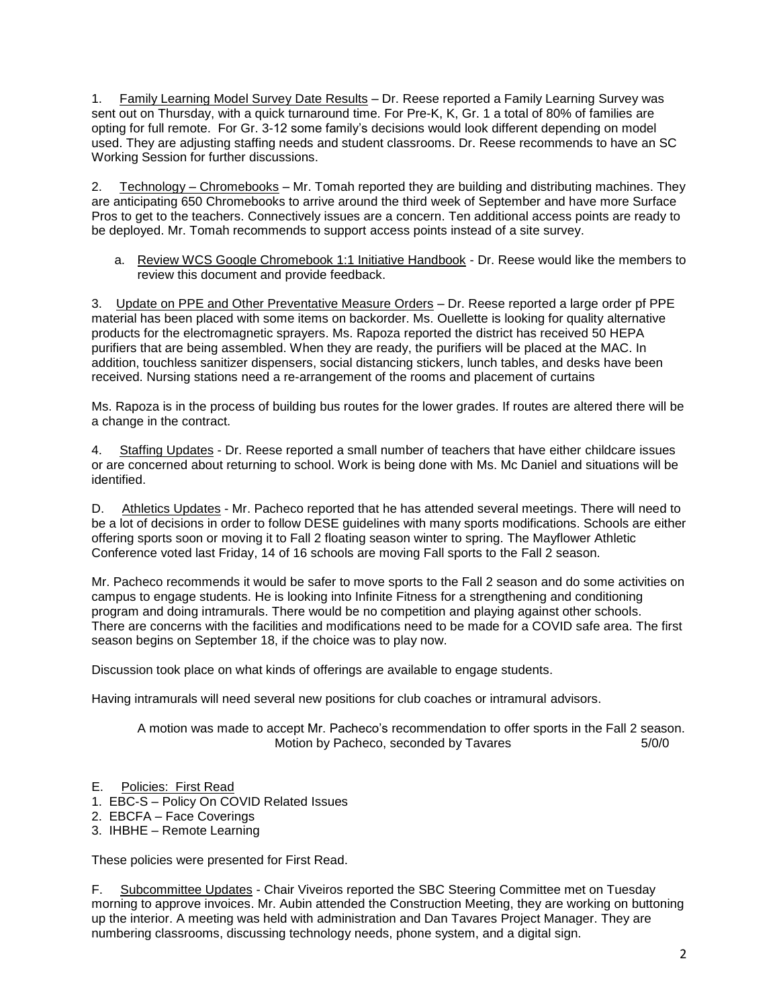1. Family Learning Model Survey Date Results – Dr. Reese reported a Family Learning Survey was sent out on Thursday, with a quick turnaround time. For Pre-K, K, Gr. 1 a total of 80% of families are opting for full remote. For Gr. 3-12 some family's decisions would look different depending on model used. They are adjusting staffing needs and student classrooms. Dr. Reese recommends to have an SC Working Session for further discussions.

2. Technology – Chromebooks – Mr. Tomah reported they are building and distributing machines. They are anticipating 650 Chromebooks to arrive around the third week of September and have more Surface Pros to get to the teachers. Connectively issues are a concern. Ten additional access points are ready to be deployed. Mr. Tomah recommends to support access points instead of a site survey.

a. Review WCS Google Chromebook 1:1 Initiative Handbook - Dr. Reese would like the members to review this document and provide feedback.

3. Update on PPE and Other Preventative Measure Orders – Dr. Reese reported a large order pf PPE material has been placed with some items on backorder. Ms. Ouellette is looking for quality alternative products for the electromagnetic sprayers. Ms. Rapoza reported the district has received 50 HEPA purifiers that are being assembled. When they are ready, the purifiers will be placed at the MAC. In addition, touchless sanitizer dispensers, social distancing stickers, lunch tables, and desks have been received. Nursing stations need a re-arrangement of the rooms and placement of curtains

Ms. Rapoza is in the process of building bus routes for the lower grades. If routes are altered there will be a change in the contract.

4. Staffing Updates - Dr. Reese reported a small number of teachers that have either childcare issues or are concerned about returning to school. Work is being done with Ms. Mc Daniel and situations will be identified.

D. Athletics Updates - Mr. Pacheco reported that he has attended several meetings. There will need to be a lot of decisions in order to follow DESE guidelines with many sports modifications. Schools are either offering sports soon or moving it to Fall 2 floating season winter to spring. The Mayflower Athletic Conference voted last Friday, 14 of 16 schools are moving Fall sports to the Fall 2 season.

Mr. Pacheco recommends it would be safer to move sports to the Fall 2 season and do some activities on campus to engage students. He is looking into Infinite Fitness for a strengthening and conditioning program and doing intramurals. There would be no competition and playing against other schools. There are concerns with the facilities and modifications need to be made for a COVID safe area. The first season begins on September 18, if the choice was to play now.

Discussion took place on what kinds of offerings are available to engage students.

Having intramurals will need several new positions for club coaches or intramural advisors.

A motion was made to accept Mr. Pacheco's recommendation to offer sports in the Fall 2 season. Motion by Pacheco, seconded by Tavares 5/0/0

- E. Policies: First Read
- 1. EBC-S Policy On COVID Related Issues
- 2. EBCFA Face Coverings
- 3. IHBHE Remote Learning

These policies were presented for First Read.

F. Subcommittee Updates - Chair Viveiros reported the SBC Steering Committee met on Tuesday morning to approve invoices. Mr. Aubin attended the Construction Meeting, they are working on buttoning up the interior. A meeting was held with administration and Dan Tavares Project Manager. They are numbering classrooms, discussing technology needs, phone system, and a digital sign.